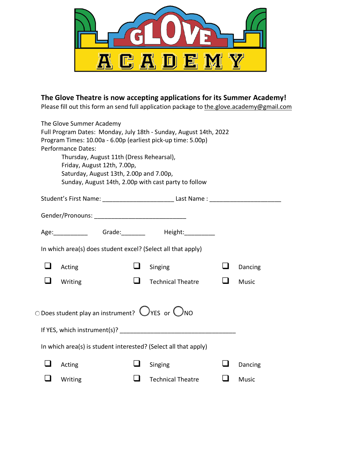

## **The Glove Theatre is now accepting applications for its Summer Academy!**

Please fill out this form an send full application package to [the.glove.academy@gmail.com](mailto:the.glove.academy@gmail.com)

| The Glove Summer Academy<br>Full Program Dates: Monday, July 18th - Sunday, August 14th, 2022<br>Program Times: 10.00a - 6.00p (earliest pick-up time: 5.00p)<br><b>Performance Dates:</b><br>Thursday, August 11th (Dress Rehearsal),<br>Friday, August 12th, 7.00p, |                                                                                                 |        |                          |  |              |  |
|-----------------------------------------------------------------------------------------------------------------------------------------------------------------------------------------------------------------------------------------------------------------------|-------------------------------------------------------------------------------------------------|--------|--------------------------|--|--------------|--|
|                                                                                                                                                                                                                                                                       | Saturday, August 13th, 2.00p and 7.00p,<br>Sunday, August 14th, 2.00p with cast party to follow |        |                          |  |              |  |
| Student's First Name: _____________________________Last Name : __________________                                                                                                                                                                                     |                                                                                                 |        |                          |  |              |  |
|                                                                                                                                                                                                                                                                       |                                                                                                 |        |                          |  |              |  |
|                                                                                                                                                                                                                                                                       |                                                                                                 |        |                          |  |              |  |
| In which area(s) does student excel? (Select all that apply)                                                                                                                                                                                                          |                                                                                                 |        |                          |  |              |  |
|                                                                                                                                                                                                                                                                       | Acting                                                                                          |        | Singing                  |  | Dancing      |  |
|                                                                                                                                                                                                                                                                       | Writing                                                                                         | $\Box$ | <b>Technical Theatre</b> |  | <b>Music</b> |  |
| $\circ$ Does student play an instrument? $\bigcirc$ YES or $\bigcirc$ NO                                                                                                                                                                                              |                                                                                                 |        |                          |  |              |  |
| In which area(s) is student interested? (Select all that apply)                                                                                                                                                                                                       |                                                                                                 |        |                          |  |              |  |
|                                                                                                                                                                                                                                                                       |                                                                                                 |        |                          |  |              |  |
|                                                                                                                                                                                                                                                                       | Acting                                                                                          |        | Singing                  |  | Dancing      |  |
|                                                                                                                                                                                                                                                                       | Writing                                                                                         |        | <b>Technical Theatre</b> |  | Music        |  |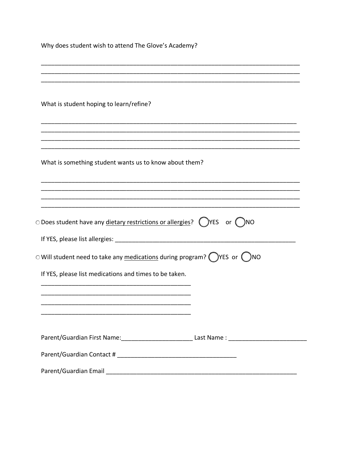| Why does student wish to attend The Glove's Academy?                                                                                                                                                                         |  |
|------------------------------------------------------------------------------------------------------------------------------------------------------------------------------------------------------------------------------|--|
| What is student hoping to learn/refine?                                                                                                                                                                                      |  |
| What is something student wants us to know about them?                                                                                                                                                                       |  |
| $\circ$ Does student have any dietary restrictions or allergies? (Sanchern C Thomas                                                                                                                                          |  |
| $\circ$ Will student need to take any <u>medications</u> during program? ( $\bigcirc$ YES or ( $\bigcirc$ NO<br>If YES, please list medications and times to be taken.                                                       |  |
| <u> 1980 - Johann Barbara, martxa alemaniar argumento de la contrada de la contrada de la contrada de la contrad</u><br>Parent/Guardian First Name:______________________________Last Name:_________________________________ |  |
|                                                                                                                                                                                                                              |  |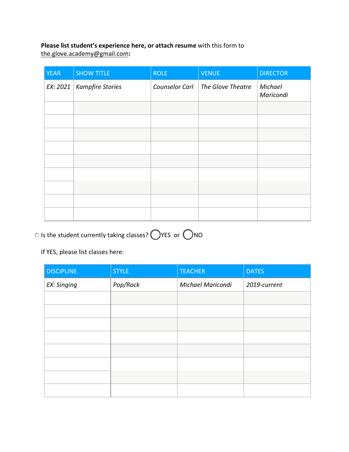## **Please list student's experience here, or attach resume** with this form to

[the.glove.academy@gmail.com](mailto:the.glove.academy@gmail.com)**:**

| <b>YEAR</b> | <b>SHOW TITLE</b>       | <b>ROLE</b>    | <b>VENUE</b>      | <b>DIRECTOR</b>      |
|-------------|-------------------------|----------------|-------------------|----------------------|
| EX: 2021    | <b>Kampfire Stories</b> | Counselor Carl | The Glove Theatre | Michael<br>Maricondi |
|             |                         |                |                   |                      |
|             |                         |                |                   |                      |
|             |                         |                |                   |                      |
|             |                         |                |                   |                      |
|             |                         |                |                   |                      |
|             |                         |                |                   |                      |
|             |                         |                |                   |                      |
|             |                         |                |                   |                      |
|             |                         |                |                   |                      |

## $\circ$  Is the student currently taking classes?  $\bigcirc$  YES or  $\bigcirc$  NO

## If YES, please list classes here:

| <b>DISCIPLINE</b> | <b>STYLE</b> | <b>TEACHER</b>           | <b>DATES</b> |
|-------------------|--------------|--------------------------|--------------|
| EX: Singing       | Pop/Rock     | <b>Michael Maricondi</b> | 2019-current |
|                   |              |                          |              |
|                   |              |                          |              |
|                   |              |                          |              |
|                   |              |                          |              |
|                   |              |                          |              |
|                   |              |                          |              |
|                   |              |                          |              |
|                   |              |                          |              |